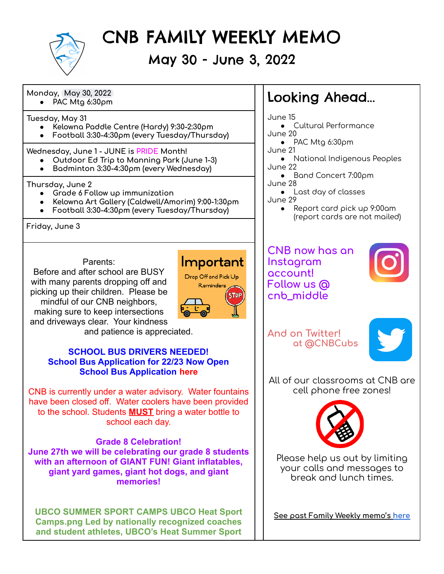

# CNB FAMILY WEEKLY MEMO

May 30 - June 3, 2022

**Monday, May 30, 2022**

**Tuesday, May 31**

- **● Kelowna Paddle Centre (Hardy) 9:30-2:30pm**
- **● Football 3:30-4:30pm (every Tuesday/Thursday)**

**Wednesday, June 1 - JUNE is PRIDE Month!**

- **● Outdoor Ed Trip to Manning Park (June 1-3)**
- **● Badminton 3:30-4:30pm (every Wednesday)**

**Thursday, June 2**

- **● Grade 6 Follow up immunization**
- **● Kelowna Art Gallery (Caldwell/Amorim) 9:00-1:30pm**
- **● Football 3:30-4:30pm (every Tuesday/Thursday)**

**Friday, June 3**

## Parents:

Before and after school are BUSY with many parents dropping off and picking up their children. Please be mindful of our CNB neighbors, making sure to keep intersections



and driveways clear. Your kindness and patience is appreciated.

## **SCHOOL BUS DRIVERS NEEDED! School Bus Application for 22/23 Now Open [School Bus Application](https://docs.google.com/document/d/1JlQPWLgK8KOJjQh9gaH_-Z20Ibtpaei8CTgyw2DTF_o/edit) [here](https://docs.google.com/document/u/0/d/1JlQPWLgK8KOJjQh9gaH_-Z20Ibtpaei8CTgyw2DTF_o/edit)**

CNB is currently under a water advisory. Water fountains have been closed off. Water coolers have been provided to the school. Students **MUST** bring a water bottle to school each day.

## **Grade 8 Celebration!**

**June 27th we will be celebrating our grade 8 students with an afternoon of GIANT FUN! Giant inflatables, giant yard games, giant hot dogs, and giant memories!**

**UBCO SUMMER SPORT CAMPS UBCO Heat Sport Camps.png Led by nationally recognized coaches and student athletes, UBCO's Heat Summer Sport**

# **•** PAC Mtg 6:30pm **Looking Ahead...**

June 15

- Cultural Performance June 20
	- PAC Mtg 6:30pm
- June 21
- National Indigenous Peoples June 22
- Band Concert 7:00pm June 28
	- Last day of classes
- June 29 ● Report card pick up 9:00am (report cards are not mailed)

**CNB now has an Instagram account! Follow us @ cnb\_middle**



**And on Twitter! at @CNBCubs**



All of our classrooms at CNB are cell phone free zones!



Please help us out by limiting your calls and messages to break and lunch times.

**See past Family Weekly memo's [here](http://www.cnb.sd23.bc.ca/Parents/familyweeklymemo/Pages/default.aspx#/=)**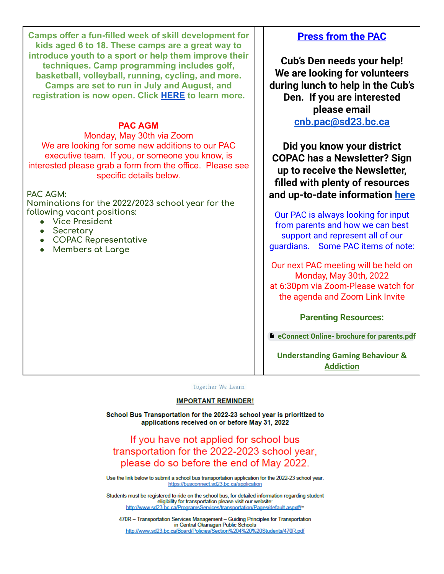**Camps offer a fun-filled week of skill development for kids aged 6 to 18. These camps are a great way to introduce youth to a sport or help them improve their techniques. Camp programming includes golf, basketball, volleyball, running, cycling, and more. Camps are set to run in July and August, and registration is now open. Click [HERE](https://goheat.prestosports.com/Community/Youth/heatsportcamps) to learn more.**

### **PAC AGM**

Monday, May 30th via Zoom We are looking for some new additions to our PAC executive team. If you, or someone you know, is interested please grab a form from the office. Please see specific details below.

**PAC AGM:**

**Nominations for the 2022/2023 school year for the following vacant positions:**

- **● Vice President**
- **● Secretary**
- **● COPAC Representative**
- **● Members at Large**

## **Press from the PAC**

**Cub's Den needs your help! We are looking for volunteers during lunch to help in the Cub's Den. If you are interested please email [cnb.pac@sd23.bc.ca](mailto:cnb.pac@sd23.bc.ca)**

**Did you know your district COPAC has a Newsletter? Sign up to receive the Newsletter, filled with plenty of resources and up-to-date information [here](https://sd23.us5.list-manage.com/subscribe?u=26d02d502305515ee1a55e6b1&id=afbb3029c1)**

Our PAC is always looking for input from parents and how we can best support and represent all of our guardians. Some PAC items of note:

Our next PAC meeting will be held on Monday, May 30th, 2022 at 6:30pm via Zoom-Please watch for the agenda and Zoom Link Invite

#### **Parenting Resources:**

**eConnect Online- brochure for [parents.pdf](https://drive.google.com/file/d/1NIXv4d2S8CD6WCDkyHffRADjAi4UnVIx/view?usp=sharing)**

**[Understanding Gaming Behaviour &](https://can01.safelinks.protection.outlook.com/?url=https%3A%2F%2Fwww.gameover101.com%2Fintro&data=04%7C01%7CLynn.Bateman%40sd23.bc.ca%7Cbc7e5b0c69dc4d9a30c008d9fe2f897d%7Ca88c6e7e8efc4bc7956fe8170457f178%7C0%7C0%7C637820302379598038%7CUnknown%7CTWFpbGZsb3d8eyJWIjoiMC4wLjAwMDAiLCJQIjoiV2luMzIiLCJBTiI6Ik1haWwiLCJXVCI6Mn0%3D%7C3000&sdata=KDiuKa%2BPdZor%2BFWfzIFfN1vBKCeYa3M%2BI8f5ER%2BuIRw%3D&reserved=0) [Addiction](https://can01.safelinks.protection.outlook.com/?url=https%3A%2F%2Fwww.gameover101.com%2Fintro&data=04%7C01%7CLynn.Bateman%40sd23.bc.ca%7Cbc7e5b0c69dc4d9a30c008d9fe2f897d%7Ca88c6e7e8efc4bc7956fe8170457f178%7C0%7C0%7C637820302379598038%7CUnknown%7CTWFpbGZsb3d8eyJWIjoiMC4wLjAwMDAiLCJQIjoiV2luMzIiLCJBTiI6Ik1haWwiLCJXVCI6Mn0%3D%7C3000&sdata=KDiuKa%2BPdZor%2BFWfzIFfN1vBKCeYa3M%2BI8f5ER%2BuIRw%3D&reserved=0)**

Together We Learn

#### **IMPORTANT REMINDER!**

School Bus Transportation for the 2022-23 school year is prioritized to applications received on or before May 31, 2022

If you have not applied for school bus transportation for the 2022-2023 school year, please do so before the end of May 2022.

Use the link below to submit a school bus transportation application for the 2022-23 school year. https://busconnect.sd23.bc.ca/application

Students must be registered to ride on the school bus, for detailed information regarding student eligibility for transportation please visit our website: http://www.sd23.bc.ca/ProgramsServices/transportation/Pages/default.aspx#/=

470R - Transportation Services Management - Guiding Principles for Transportation in Central Okanagan Public Schools http://www.sd23.bc.ca/Board/Policies/Section%204%20%20Students/470R.pdf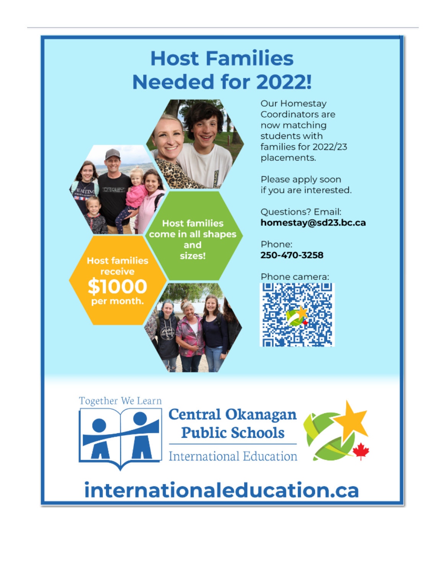# **Host Families Needed for 2022!**



Our Homestay Coordinators are now matching students with families for 2022/23 placements.

Please apply soon if you are interested.

**Questions? Email:** homestay@sd23.bc.ca

Phone: 250-470-3258





# internationaleducation.ca